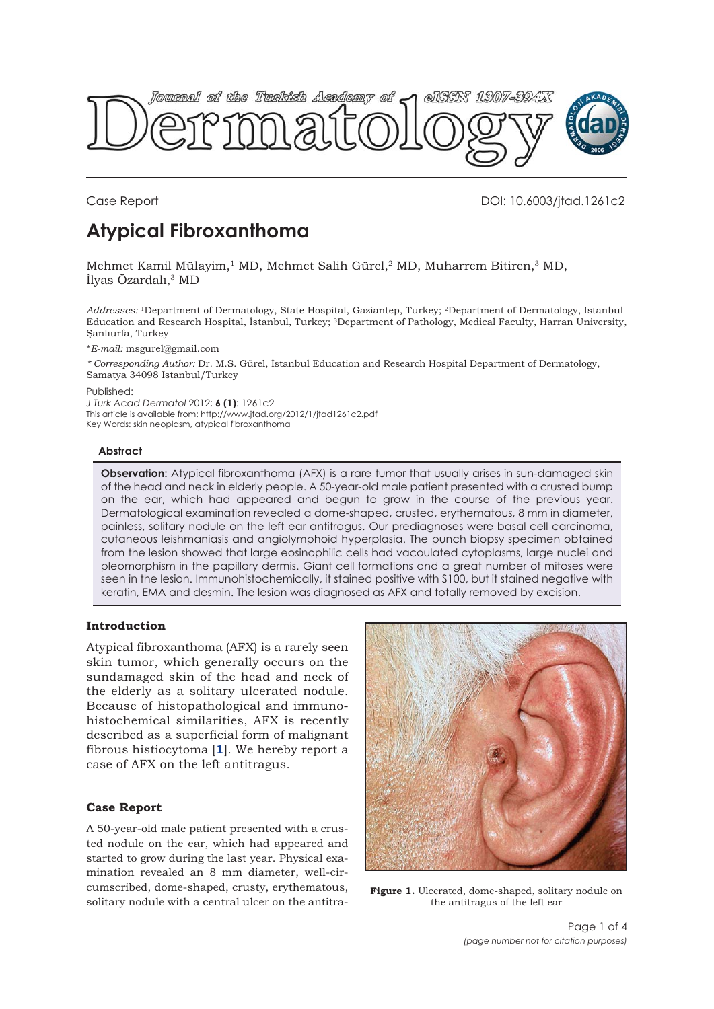<span id="page-0-0"></span>

Case Report DOI: 10.6003/jtad.1261c2

# **Atypical Fibroxanthoma**

Mehmet Kamil Mülayim,<sup>1</sup> MD, Mehmet Salih Gürel,<sup>2</sup> MD, Muharrem Bitiren,<sup>3</sup> MD, İlyas Özardalı,<sup>3</sup> MD

*Addresses:* 1Department of Dermatology, State Hospital, Gaziantep, Turkey; 2Department of Dermatology, Istanbul Education and Research Hospital, İstanbul, Turkey; 3Department of Pathology, Medical Faculty, Harran University, Şanlıurfa, Turkey

\**E-mail:* msgurel@gmail.com

*\* Corresponding Author:* Dr. M.S. Gürel, İstanbul Education and Research Hospital Department of Dermatology, Samatya 34098 Istanbul/Turkey

Published:

*J Turk Acad Dermatol* 2012; **6 (1)**: 1261c2 This article is available from: http://www.jtad.org/2012/1/jtad1261c2.pdf

Key Words: skin neoplasm, atypical fibroxanthoma

#### **Abstract**

**Observation:** Atypical fibroxanthoma (AFX) is a rare tumor that usually arises in sun-damaged skin of the head and neck in elderly people. A 50-year-old male patient presented with a crusted bump on the ear, which had appeared and begun to grow in the course of the previous year. Dermatological examination revealed a dome-shaped, crusted, erythematous, 8 mm in diameter, painless, solitary nodule on the left ear antitragus. Our prediagnoses were basal cell carcinoma, cutaneous leishmaniasis and angiolymphoid hyperplasia. The punch biopsy specimen obtained from the lesion showed that large eosinophilic cells had vacoulated cytoplasms, large nuclei and pleomorphism in the papillary dermis. Giant cell formations and a great number of mitoses were seen in the lesion. Immunohistochemically, it stained positive with S100, but it stained negative with keratin, EMA and desmin. The lesion was diagnosed as AFX and totally removed by excision.

# **Introduction**

Atypical fibroxanthoma (AFX) is a rarely seen skin tumor, which generally occurs on the sundamaged skin of the head and neck of the elderly as a solitary ulcerated nodule. Because of histopathological and immunohistochemical similarities, AFX is recently described as a superficial form of malignant fibrous histiocytoma [**[1](#page-2-0)**]. We hereby report a case of AFX on the left antitragus.

# **Case Report**

A 50-year-old male patient presented with a crusted nodule on the ear, which had appeared and started to grow during the last year. Physical examination revealed an 8 mm diameter, well-circumscribed, dome-shaped, crusty, erythematous, solitary nodule with a central ulcer on the antitra-



**Figure 1.** Ulcerated, dome-shaped, solitary nodule on the antitragus of the left ear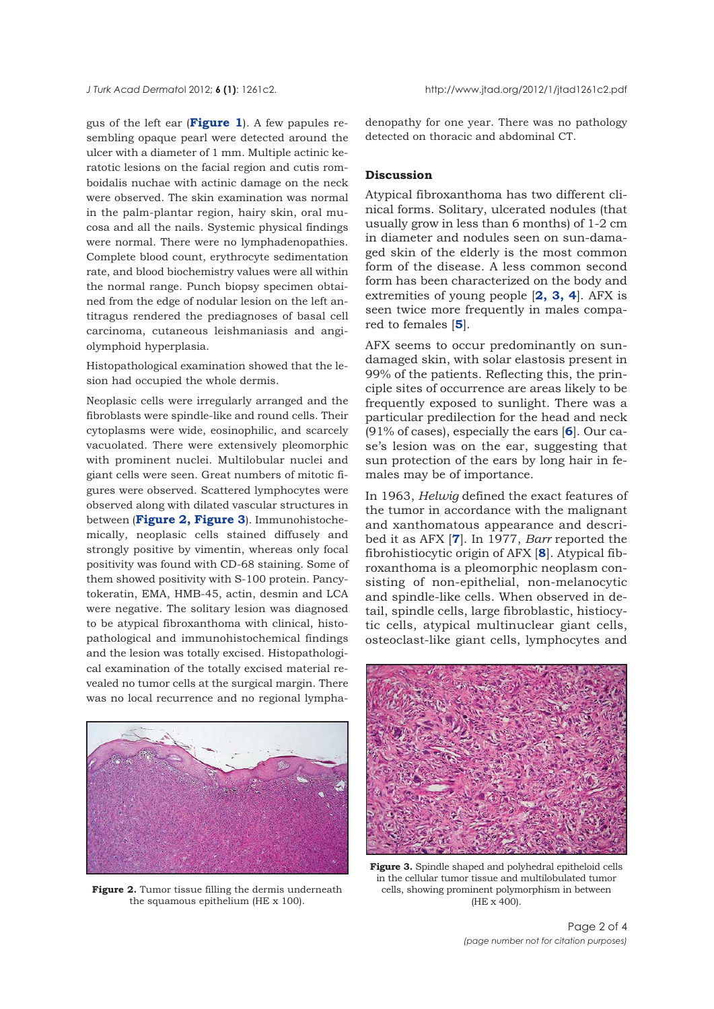<span id="page-1-0"></span>gus of the left ear (**[Figure 1](#page-0-0)**). A few papules resembling opaque pearl were detected around the ulcer with a diameter of 1 mm. Multiple actinic keratotic lesions on the facial region and cutis romboidalis nuchae with actinic damage on the neck were observed. The skin examination was normal in the palm-plantar region, hairy skin, oral mucosa and all the nails. Systemic physical findings were normal. There were no lymphadenopathies. Complete blood count, erythrocyte sedimentation rate, and blood biochemistry values were all within the normal range. Punch biopsy specimen obtained from the edge of nodular lesion on the left antitragus rendered the prediagnoses of basal cell carcinoma, cutaneous leishmaniasis and angiolymphoid hyperplasia.

Histopathological examination showed that the lesion had occupied the whole dermis.

Neoplasic cells were irregularly arranged and the fibroblasts were spindle-like and round cells. Their cytoplasms were wide, eosinophilic, and scarcely vacuolated. There were extensively pleomorphic with prominent nuclei. Multilobular nuclei and giant cells were seen. Great numbers of mitotic figures were observed. Scattered lymphocytes were observed along with dilated vascular structures in between (**Figure 2, Figure 3**). Immunohistochemically, neoplasic cells stained diffusely and strongly positive by vimentin, whereas only focal positivity was found with CD-68 staining. Some of them showed positivity with S-100 protein. Pancytokeratin, EMA, HMB-45, actin, desmin and LCA were negative. The solitary lesion was diagnosed to be atypical fibroxanthoma with clinical, histopathological and immunohistochemical findings and the lesion was totally excised. Histopathological examination of the totally excised material revealed no tumor cells at the surgical margin. There was no local recurrence and no regional lympha-



**Figure 2.** Tumor tissue filling the dermis underneath the squamous epithelium (HE x 100).

denopathy for one year. There was no pathology detected on thoracic and abdominal CT.

### **Discussion**

Atypical fibroxanthoma has two different clinical forms. Solitary, ulcerated nodules (that usually grow in less than 6 months) of 1-2 cm in diameter and nodules seen on sun-damaged skin of the elderly is the most common form of the disease. A less common second form has been characterized on the body and extremities of young people [**[2](#page-2-0), [3](#page-2-0), [4](#page-2-0)**]. AFX is seen twice more frequently in males compared to females [**[5](#page-2-0)**].

AFX seems to occur predominantly on sundamaged skin, with solar elastosis present in 99% of the patients. Reflecting this, the principle sites of occurrence are areas likely to be frequently exposed to sunlight. There was a particular predilection for the head and neck (91% of cases), especially the ears [**[6](#page-2-0)**]. Our case's lesion was on the ear, suggesting that sun protection of the ears by long hair in females may be of importance.

In 1963, *Helwig* defined the exact features of the tumor in accordance with the malignant and xanthomatous appearance and described it as AFX [**[7](#page-2-0)**]. In 1977, *Barr* reported the fibrohistiocytic origin of AFX [**[8](#page-2-0)**]. Atypical fibroxanthoma is a pleomorphic neoplasm consisting of non-epithelial, non-melanocytic and spindle-like cells. When observed in detail, spindle cells, large fibroblastic, histiocytic cells, atypical multinuclear giant cells, osteoclast-like giant cells, lymphocytes and



**Figure 3.** Spindle shaped and polyhedral epitheloid cells in the cellular tumor tissue and multilobulated tumor cells, showing prominent polymorphism in between (HE x 400).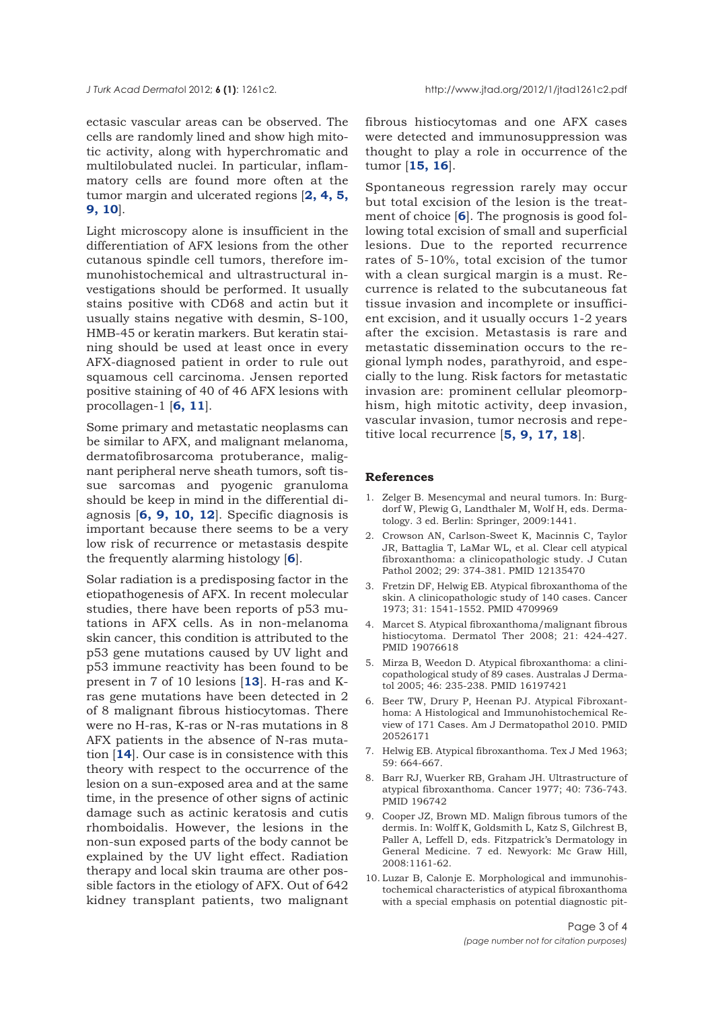<span id="page-2-0"></span>ectasic vascular areas can be observed. The cells are randomly lined and show high mitotic activity, along with hyperchromatic and multilobulated nuclei. In particular, inflammatory cells are found more often at the tumor margin and ulcerated regions [**2, 4, 5, 9, 10**].

Light microscopy alone is insufficient in the differentiation of AFX lesions from the other cutanous spindle cell tumors, therefore immunohistochemical and ultrastructural investigations should be performed. It usually stains positive with CD68 and actin but it usually stains negative with desmin, S-100, HMB-45 or keratin markers. But keratin staining should be used at least once in every AFX-diagnosed patient in order to rule out squamous cell carcinoma. Jensen reported positive staining of 40 of 46 AFX lesions with procollagen-1 [**6, [11](#page-3-0)**].

Some primary and metastatic neoplasms can be similar to AFX, and malignant melanoma, dermatofibrosarcoma protuberance, malignant peripheral nerve sheath tumors, soft tissue sarcomas and pyogenic granuloma should be keep in mind in the differential diagnosis [**6, 9, 10, [12](#page-3-0)**]. Specific diagnosis is important because there seems to be a very low risk of recurrence or metastasis despite the frequently alarming histology [**6**].

Solar radiation is a predisposing factor in the etiopathogenesis of AFX. In recent molecular studies, there have been reports of p53 mutations in AFX cells. As in non-melanoma skin cancer, this condition is attributed to the p53 gene mutations caused by UV light and p53 immune reactivity has been found to be present in 7 of 10 lesions [**[13](#page-3-0)**]. H-ras and Kras gene mutations have been detected in 2 of 8 malignant fibrous histiocytomas. There were no H-ras, K-ras or N-ras mutations in 8 AFX patients in the absence of N-ras mutation [**[14](#page-3-0)**]. Our case is in consistence with this theory with respect to the occurrence of the lesion on a sun-exposed area and at the same time, in the presence of other signs of actinic damage such as actinic keratosis and cutis rhomboidalis. However, the lesions in the non-sun exposed parts of the body cannot be explained by the UV light effect. Radiation therapy and local skin trauma are other possible factors in the etiology of AFX. Out of 642 kidney transplant patients, two malignant

fibrous histiocytomas and one AFX cases were detected and immunosuppression was thought to play a role in occurrence of the tumor [**[15, 16](#page-3-0)**].

Spontaneous regression rarely may occur but total excision of the lesion is the treatment of choice [**6**]. The prognosis is good following total excision of small and superficial lesions. Due to the reported recurrence rates of 5-10%, total excision of the tumor with a clean surgical margin is a must. Recurrence is related to the subcutaneous fat tissue invasion and incomplete or insufficient excision, and it usually occurs 1-2 years after the excision. Metastasis is rare and metastatic dissemination occurs to the regional lymph nodes, parathyroid, and especially to the lung. Risk factors for metastatic invasion are: prominent cellular pleomorphism, high mitotic activity, deep invasion, vascular invasion, tumor necrosis and repetitive local recurrence [**5, 9, [17](#page-3-0), [18](#page-3-0)**].

#### **References**

- [1.](#page-0-0) Zelger B. Mesencymal and neural tumors. In: Burgdorf W, Plewig G, Landthaler M, Wolf H, eds. Dermatology. 3 ed. Berlin: Springer, 2009:1441.
- [2. Crowson AN, Carlson-Sweet K, Macinnis C, Taylor](#page-1-0) JR, Battaglia T, LaMar WL, et al. Clear cell atypical fibroxanthoma: a clinicopathologic study. J Cutan Pathol 2002; 29: 374-381. PMID 12135470
- 3. Fretzin DF, Helwig EB. Atypical fibroxanthoma of the skin. A clinicopathologic study of 140 cases. Cancer 1973; 31: 1541-1552. PMID 4709969
- 4. Marcet S. Atypical fibroxanthoma/malignant fibrous histiocytoma. Dermatol Ther 2008; 21: 424-427. PMID 19076618
- [5.](#page-1-0) Mirza B, Weedon D. Atypical fibroxanthoma: a clinicopathological study of 89 cases. Australas J Dermatol 2005; 46: 235-238. PMID 16197421
- [6.](#page-1-0) Beer TW, Drury P, Heenan PJ. Atypical Fibroxanthoma: A Histological and Immunohistochemical Review of 171 Cases. Am J Dermatopathol 2010. PMID 20526171
- [7.](#page-1-0) Helwig EB. Atypical fibroxanthoma. Tex J Med 1963; 59: 664-667.
- [8.](#page-1-0) Barr RJ, Wuerker RB, Graham JH. Ultrastructure of atypical fibroxanthoma. Cancer 1977; 40: 736-743. PMID 196742
- 9. Cooper JZ, Brown MD. Malign fibrous tumors of the dermis. In: Wolff K, Goldsmith L, Katz S, Gilchrest B, Paller A, Leffell D, eds. Fitzpatrick's Dermatology in General Medicine. 7 ed. Newyork: Mc Graw Hill, 2008:1161-62.
- 10. Luzar B, Calonje E. Morphological and immunohistochemical characteristics of atypical fibroxanthoma with a special emphasis on potential diagnostic pit-